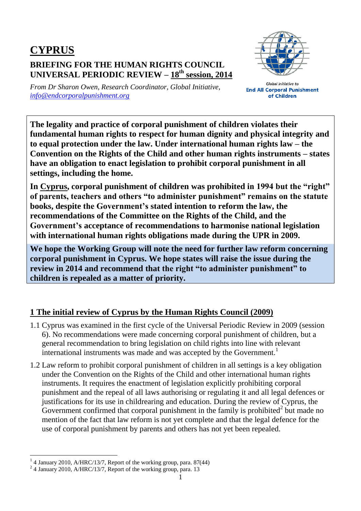## **CYPRUS BRIEFING FOR THE HUMAN RIGHTS COUNCIL UNIVERSAL PERIODIC REVIEW – 18 th session, 2014**



*From Dr Sharon Owen, Research Coordinator, Global Initiative, [info@endcorporalpunishment.org](mailto:info@endcorporalpunishment.org)*

**Global Initiative to End All Corporal Punishment** of Children

**The legality and practice of corporal punishment of children violates their fundamental human rights to respect for human dignity and physical integrity and to equal protection under the law. Under international human rights law – the Convention on the Rights of the Child and other human rights instruments – states have an obligation to enact legislation to prohibit corporal punishment in all settings, including the home.**

**In Cyprus, corporal punishment of children was prohibited in 1994 but the "right" of parents, teachers and others "to administer punishment" remains on the statute books, despite the Government's stated intention to reform the law, the recommendations of the Committee on the Rights of the Child, and the Government's acceptance of recommendations to harmonise national legislation with international human rights obligations made during the UPR in 2009.**

**We hope the Working Group will note the need for further law reform concerning corporal punishment in Cyprus. We hope states will raise the issue during the review in 2014 and recommend that the right "to administer punishment" to children is repealed as a matter of priority.**

## **1 The initial review of Cyprus by the Human Rights Council (2009)**

- 1.1 Cyprus was examined in the first cycle of the Universal Periodic Review in 2009 (session 6). No recommendations were made concerning corporal punishment of children, but a general recommendation to bring legislation on child rights into line with relevant international instruments was made and was accepted by the Government.<sup>1</sup>
- 1.2 Law reform to prohibit corporal punishment of children in all settings is a key obligation under the Convention on the Rights of the Child and other international human rights instruments. It requires the enactment of legislation explicitly prohibiting corporal punishment and the repeal of all laws authorising or regulating it and all legal defences or justifications for its use in childrearing and education. During the review of Cyprus, the Government confirmed that corporal punishment in the family is prohibited<sup>2</sup> but made no mention of the fact that law reform is not yet complete and that the legal defence for the use of corporal punishment by parents and others has not yet been repealed.

 $\overline{a}$ <sup>1</sup> 4 January 2010, A/HRC/13/7, Report of the working group, para. 87(44)

<sup>&</sup>lt;sup>2</sup> 4 January 2010, A/HRC/13/7, Report of the working group, para. 13